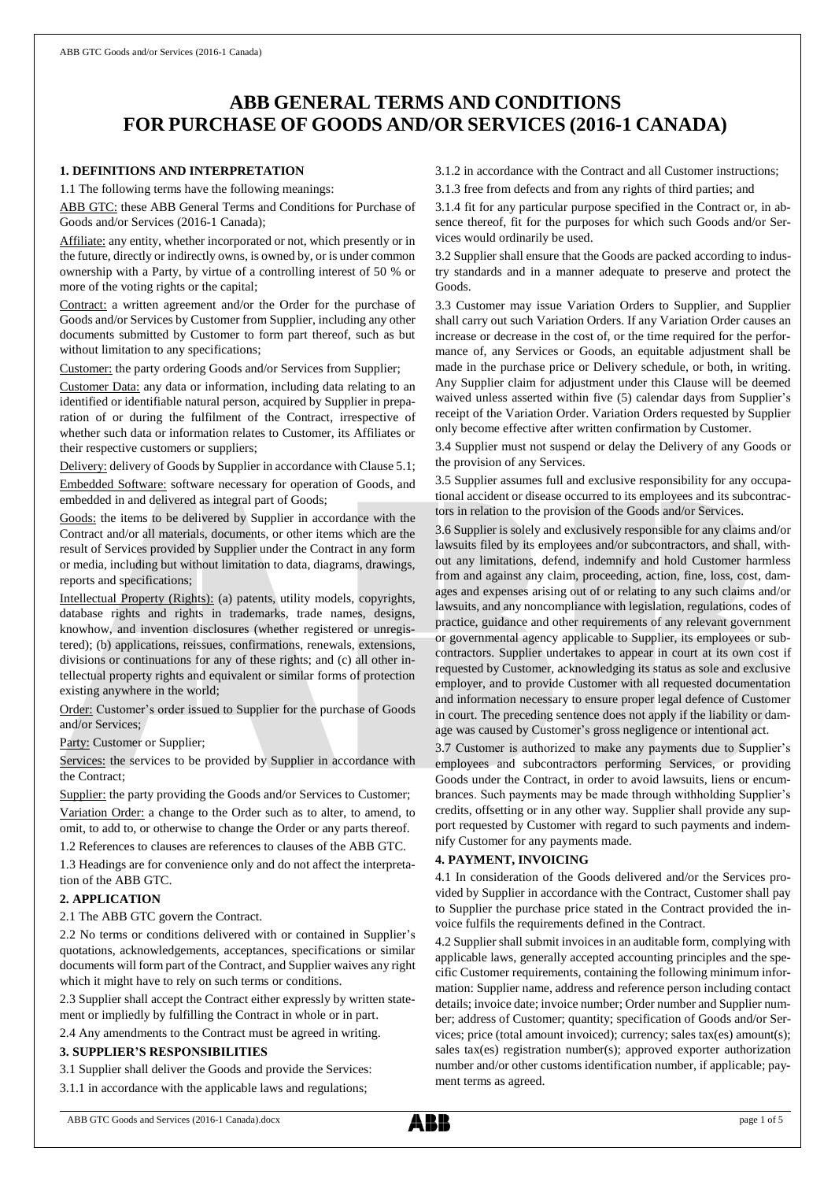# **ABB GENERAL TERMS AND CONDITIONS FOR PURCHASE OF GOODS AND/OR SERVICES (2016-1 CANADA)**

#### **1. DEFINITIONS AND INTERPRETATION**

1.1 The following terms have the following meanings:

ABB GTC: these ABB General Terms and Conditions for Purchase of Goods and/or Services (2016-1 Canada);

Affiliate: any entity, whether incorporated or not, which presently or in the future, directly or indirectly owns, is owned by, or is under common ownership with a Party, by virtue of a controlling interest of 50 % or more of the voting rights or the capital;

Contract: a written agreement and/or the Order for the purchase of Goods and/or Services by Customer from Supplier, including any other documents submitted by Customer to form part thereof, such as but without limitation to any specifications;

Customer: the party ordering Goods and/or Services from Supplier;

Customer Data: any data or information, including data relating to an identified or identifiable natural person, acquired by Supplier in preparation of or during the fulfilment of the Contract, irrespective of whether such data or information relates to Customer, its Affiliates or their respective customers or suppliers;

Delivery: delivery of Goods by Supplier in accordance with Clause 5.1; Embedded Software: software necessary for operation of Goods, and embedded in and delivered as integral part of Goods;

Goods: the items to be delivered by Supplier in accordance with the Contract and/or all materials, documents, or other items which are the result of Services provided by Supplier under the Contract in any form or media, including but without limitation to data, diagrams, drawings, reports and specifications;

Intellectual Property (Rights): (a) patents, utility models, copyrights, database rights and rights in trademarks, trade names, designs, knowhow, and invention disclosures (whether registered or unregistered); (b) applications, reissues, confirmations, renewals, extensions, divisions or continuations for any of these rights; and (c) all other intellectual property rights and equivalent or similar forms of protection existing anywhere in the world;

Order: Customer's order issued to Supplier for the purchase of Goods and/or Services;

Party: Customer or Supplier;

Services: the services to be provided by Supplier in accordance with the Contract;

Supplier: the party providing the Goods and/or Services to Customer; Variation Order: a change to the Order such as to alter, to amend, to omit, to add to, or otherwise to change the Order or any parts thereof.

1.2 References to clauses are references to clauses of the ABB GTC.

1.3 Headings are for convenience only and do not affect the interpretation of the ABB GTC.

## **2. APPLICATION**

2.1 The ABB GTC govern the Contract.

2.2 No terms or conditions delivered with or contained in Supplier's quotations, acknowledgements, acceptances, specifications or similar documents will form part of the Contract, and Supplier waives any right which it might have to rely on such terms or conditions.

2.3 Supplier shall accept the Contract either expressly by written statement or impliedly by fulfilling the Contract in whole or in part.

2.4 Any amendments to the Contract must be agreed in writing.

## **3. SUPPLIER'S RESPONSIBILITIES**

3.1 Supplier shall deliver the Goods and provide the Services:

3.1.1 in accordance with the applicable laws and regulations;

3.1.2 in accordance with the Contract and all Customer instructions;

3.1.3 free from defects and from any rights of third parties; and

3.1.4 fit for any particular purpose specified in the Contract or, in absence thereof, fit for the purposes for which such Goods and/or Services would ordinarily be used.

3.2 Supplier shall ensure that the Goods are packed according to industry standards and in a manner adequate to preserve and protect the Goods.

3.3 Customer may issue Variation Orders to Supplier, and Supplier shall carry out such Variation Orders. If any Variation Order causes an increase or decrease in the cost of, or the time required for the performance of, any Services or Goods, an equitable adjustment shall be made in the purchase price or Delivery schedule, or both, in writing. Any Supplier claim for adjustment under this Clause will be deemed waived unless asserted within five (5) calendar days from Supplier's receipt of the Variation Order. Variation Orders requested by Supplier only become effective after written confirmation by Customer.

3.4 Supplier must not suspend or delay the Delivery of any Goods or the provision of any Services.

3.5 Supplier assumes full and exclusive responsibility for any occupational accident or disease occurred to its employees and its subcontractors in relation to the provision of the Goods and/or Services.

3.6 Supplier is solely and exclusively responsible for any claims and/or lawsuits filed by its employees and/or subcontractors, and shall, without any limitations, defend, indemnify and hold Customer harmless from and against any claim, proceeding, action, fine, loss, cost, damages and expenses arising out of or relating to any such claims and/or lawsuits, and any noncompliance with legislation, regulations, codes of practice, guidance and other requirements of any relevant government or governmental agency applicable to Supplier, its employees or subcontractors. Supplier undertakes to appear in court at its own cost if requested by Customer, acknowledging its status as sole and exclusive employer, and to provide Customer with all requested documentation and information necessary to ensure proper legal defence of Customer in court. The preceding sentence does not apply if the liability or damage was caused by Customer's gross negligence or intentional act.

3.7 Customer is authorized to make any payments due to Supplier's employees and subcontractors performing Services, or providing Goods under the Contract, in order to avoid lawsuits, liens or encumbrances. Such payments may be made through withholding Supplier's credits, offsetting or in any other way. Supplier shall provide any support requested by Customer with regard to such payments and indemnify Customer for any payments made.

#### **4. PAYMENT, INVOICING**

4.1 In consideration of the Goods delivered and/or the Services provided by Supplier in accordance with the Contract, Customer shall pay to Supplier the purchase price stated in the Contract provided the invoice fulfils the requirements defined in the Contract.

4.2 Supplier shall submit invoices in an auditable form, complying with applicable laws, generally accepted accounting principles and the specific Customer requirements, containing the following minimum information: Supplier name, address and reference person including contact details; invoice date; invoice number; Order number and Supplier number; address of Customer; quantity; specification of Goods and/or Services; price (total amount invoiced); currency; sales tax(es) amount(s); sales tax(es) registration number(s); approved exporter authorization number and/or other customs identification number, if applicable; payment terms as agreed.

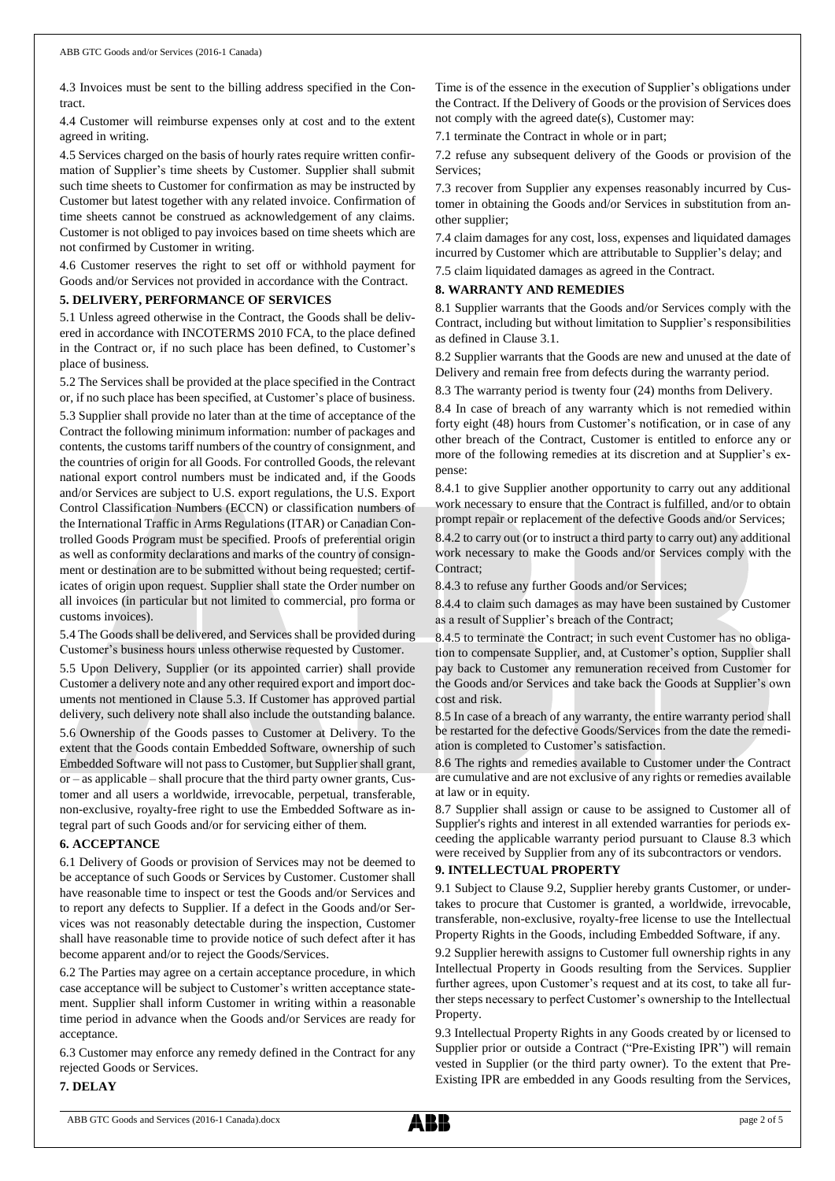4.3 Invoices must be sent to the billing address specified in the Contract.

4.4 Customer will reimburse expenses only at cost and to the extent agreed in writing.

4.5 Services charged on the basis of hourly rates require written confirmation of Supplier's time sheets by Customer. Supplier shall submit such time sheets to Customer for confirmation as may be instructed by Customer but latest together with any related invoice. Confirmation of time sheets cannot be construed as acknowledgement of any claims. Customer is not obliged to pay invoices based on time sheets which are not confirmed by Customer in writing.

4.6 Customer reserves the right to set off or withhold payment for Goods and/or Services not provided in accordance with the Contract.

## **5. DELIVERY, PERFORMANCE OF SERVICES**

5.1 Unless agreed otherwise in the Contract, the Goods shall be delivered in accordance with INCOTERMS 2010 FCA, to the place defined in the Contract or, if no such place has been defined, to Customer's place of business.

5.2 The Services shall be provided at the place specified in the Contract or, if no such place has been specified, at Customer's place of business.

5.3 Supplier shall provide no later than at the time of acceptance of the Contract the following minimum information: number of packages and contents, the customs tariff numbers of the country of consignment, and the countries of origin for all Goods. For controlled Goods, the relevant national export control numbers must be indicated and, if the Goods and/or Services are subject to U.S. export regulations, the U.S. Export Control Classification Numbers (ECCN) or classification numbers of the International Traffic in Arms Regulations (ITAR) or Canadian Controlled Goods Program must be specified. Proofs of preferential origin as well as conformity declarations and marks of the country of consignment or destination are to be submitted without being requested; certificates of origin upon request. Supplier shall state the Order number on all invoices (in particular but not limited to commercial, pro forma or customs invoices).

5.4 The Goods shall be delivered, and Services shall be provided during Customer's business hours unless otherwise requested by Customer.

5.5 Upon Delivery, Supplier (or its appointed carrier) shall provide Customer a delivery note and any other required export and import documents not mentioned in Clause 5.3. If Customer has approved partial delivery, such delivery note shall also include the outstanding balance.

5.6 Ownership of the Goods passes to Customer at Delivery. To the extent that the Goods contain Embedded Software, ownership of such Embedded Software will not passto Customer, but Supplier shall grant, or – as applicable – shall procure that the third party owner grants, Customer and all users a worldwide, irrevocable, perpetual, transferable, non-exclusive, royalty-free right to use the Embedded Software as integral part of such Goods and/or for servicing either of them.

#### **6. ACCEPTANCE**

6.1 Delivery of Goods or provision of Services may not be deemed to be acceptance of such Goods or Services by Customer. Customer shall have reasonable time to inspect or test the Goods and/or Services and to report any defects to Supplier. If a defect in the Goods and/or Services was not reasonably detectable during the inspection, Customer shall have reasonable time to provide notice of such defect after it has become apparent and/or to reject the Goods/Services.

6.2 The Parties may agree on a certain acceptance procedure, in which case acceptance will be subject to Customer's written acceptance statement. Supplier shall inform Customer in writing within a reasonable time period in advance when the Goods and/or Services are ready for acceptance.

6.3 Customer may enforce any remedy defined in the Contract for any rejected Goods or Services.

#### **7. DELAY**

Time is of the essence in the execution of Supplier's obligations under the Contract. If the Delivery of Goods or the provision of Services does not comply with the agreed date(s), Customer may:

7.1 terminate the Contract in whole or in part;

7.2 refuse any subsequent delivery of the Goods or provision of the Services;

7.3 recover from Supplier any expenses reasonably incurred by Customer in obtaining the Goods and/or Services in substitution from another supplier;

7.4 claim damages for any cost, loss, expenses and liquidated damages incurred by Customer which are attributable to Supplier's delay; and 7.5 claim liquidated damages as agreed in the Contract.

## **8. WARRANTY AND REMEDIES**

8.1 Supplier warrants that the Goods and/or Services comply with the Contract, including but without limitation to Supplier's responsibilities as defined in Clause 3.1.

8.2 Supplier warrants that the Goods are new and unused at the date of Delivery and remain free from defects during the warranty period.

8.3 The warranty period is twenty four (24) months from Delivery.

8.4 In case of breach of any warranty which is not remedied within forty eight (48) hours from Customer's notification, or in case of any other breach of the Contract, Customer is entitled to enforce any or more of the following remedies at its discretion and at Supplier's expense:

8.4.1 to give Supplier another opportunity to carry out any additional work necessary to ensure that the Contract is fulfilled, and/or to obtain prompt repair or replacement of the defective Goods and/or Services;

8.4.2 to carry out (or to instruct a third party to carry out) any additional work necessary to make the Goods and/or Services comply with the Contract<sup>®</sup>

8.4.3 to refuse any further Goods and/or Services;

8.4.4 to claim such damages as may have been sustained by Customer as a result of Supplier's breach of the Contract;

8.4.5 to terminate the Contract; in such event Customer has no obligation to compensate Supplier, and, at Customer's option, Supplier shall pay back to Customer any remuneration received from Customer for the Goods and/or Services and take back the Goods at Supplier's own cost and risk.

8.5 In case of a breach of any warranty, the entire warranty period shall be restarted for the defective Goods/Services from the date the remediation is completed to Customer's satisfaction.

8.6 The rights and remedies available to Customer under the Contract are cumulative and are not exclusive of any rights or remedies available at law or in equity.

8.7 Supplier shall assign or cause to be assigned to Customer all of Supplier's rights and interest in all extended warranties for periods exceeding the applicable warranty period pursuant to Clause 8.3 which were received by Supplier from any of its subcontractors or vendors.

## **9. INTELLECTUAL PROPERTY**

9.1 Subject to Clause 9.2, Supplier hereby grants Customer, or undertakes to procure that Customer is granted, a worldwide, irrevocable, transferable, non-exclusive, royalty-free license to use the Intellectual Property Rights in the Goods, including Embedded Software, if any.

9.2 Supplier herewith assigns to Customer full ownership rights in any Intellectual Property in Goods resulting from the Services. Supplier further agrees, upon Customer's request and at its cost, to take all further steps necessary to perfect Customer's ownership to the Intellectual Property.

9.3 Intellectual Property Rights in any Goods created by or licensed to Supplier prior or outside a Contract ("Pre-Existing IPR") will remain vested in Supplier (or the third party owner). To the extent that Pre-Existing IPR are embedded in any Goods resulting from the Services,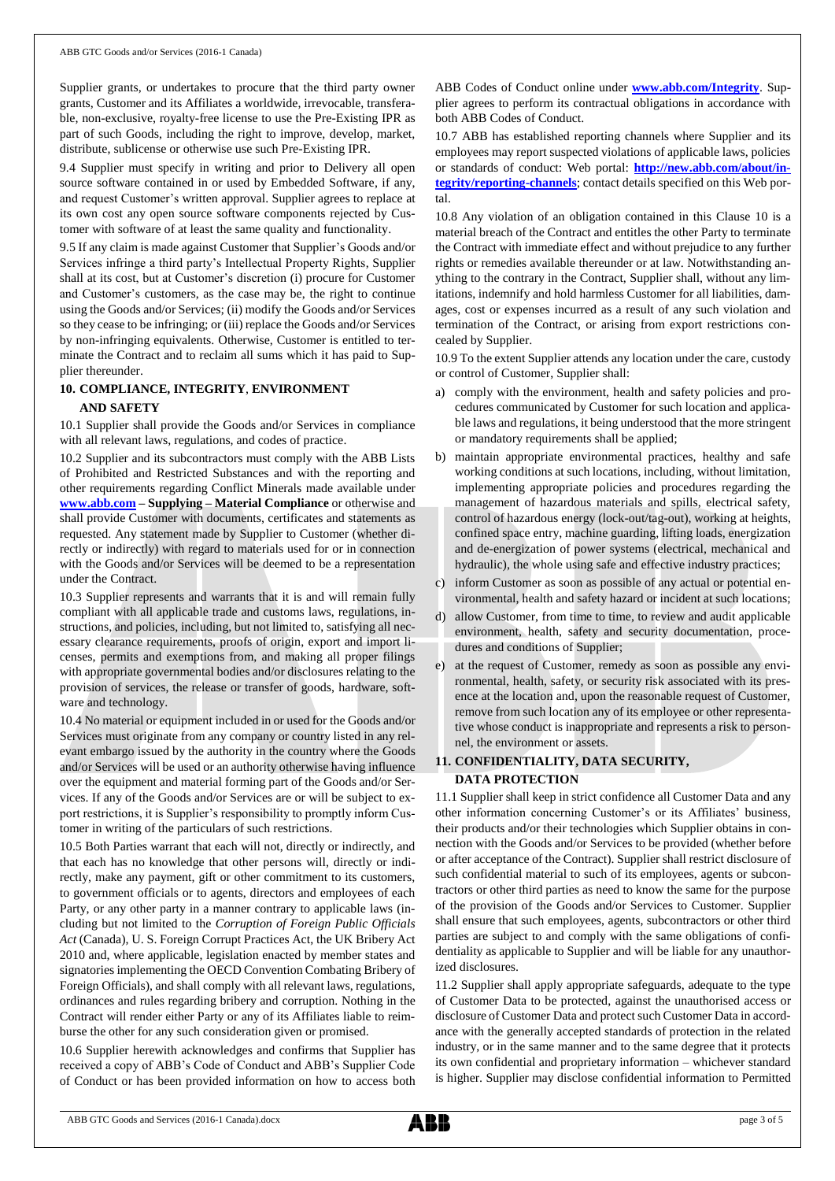Supplier grants, or undertakes to procure that the third party owner grants, Customer and its Affiliates a worldwide, irrevocable, transferable, non-exclusive, royalty-free license to use the Pre-Existing IPR as part of such Goods, including the right to improve, develop, market, distribute, sublicense or otherwise use such Pre-Existing IPR.

9.4 Supplier must specify in writing and prior to Delivery all open source software contained in or used by Embedded Software, if any, and request Customer's written approval. Supplier agrees to replace at its own cost any open source software components rejected by Customer with software of at least the same quality and functionality.

9.5 If any claim is made against Customer that Supplier's Goods and/or Services infringe a third party's Intellectual Property Rights, Supplier shall at its cost, but at Customer's discretion (i) procure for Customer and Customer's customers, as the case may be, the right to continue using the Goods and/or Services; (ii) modify the Goods and/or Services so they cease to be infringing; or (iii) replace the Goods and/or Services by non-infringing equivalents. Otherwise, Customer is entitled to terminate the Contract and to reclaim all sums which it has paid to Supplier thereunder.

#### **10. COMPLIANCE, INTEGRITY**, **ENVIRONMENT**

#### **AND SAFETY**

10.1 Supplier shall provide the Goods and/or Services in compliance with all relevant laws, regulations, and codes of practice.

10.2 Supplier and its subcontractors must comply with the ABB Lists of Prohibited and Restricted Substances and with the reporting and other requirements regarding Conflict Minerals made available under **[www.abb.com](http://www.abb.com/) – Supplying – Material Compliance** or otherwise and shall provide Customer with documents, certificates and statements as requested. Any statement made by Supplier to Customer (whether directly or indirectly) with regard to materials used for or in connection with the Goods and/or Services will be deemed to be a representation under the Contract.

10.3 Supplier represents and warrants that it is and will remain fully compliant with all applicable trade and customs laws, regulations, instructions, and policies, including, but not limited to, satisfying all necessary clearance requirements, proofs of origin, export and import licenses, permits and exemptions from, and making all proper filings with appropriate governmental bodies and/or disclosures relating to the provision of services, the release or transfer of goods, hardware, software and technology.

10.4 No material or equipment included in or used for the Goods and/or Services must originate from any company or country listed in any relevant embargo issued by the authority in the country where the Goods and/or Services will be used or an authority otherwise having influence over the equipment and material forming part of the Goods and/or Services. If any of the Goods and/or Services are or will be subject to export restrictions, it is Supplier's responsibility to promptly inform Customer in writing of the particulars of such restrictions.

10.5 Both Parties warrant that each will not, directly or indirectly, and that each has no knowledge that other persons will, directly or indirectly, make any payment, gift or other commitment to its customers, to government officials or to agents, directors and employees of each Party, or any other party in a manner contrary to applicable laws (including but not limited to the *Corruption of Foreign Public Officials Act* (Canada), U. S. Foreign Corrupt Practices Act, the UK Bribery Act 2010 and, where applicable, legislation enacted by member states and signatories implementing the OECD Convention Combating Bribery of Foreign Officials), and shall comply with all relevant laws, regulations, ordinances and rules regarding bribery and corruption. Nothing in the Contract will render either Party or any of its Affiliates liable to reimburse the other for any such consideration given or promised.

10.6 Supplier herewith acknowledges and confirms that Supplier has received a copy of ABB's Code of Conduct and ABB's Supplier Code of Conduct or has been provided information on how to access both ABB Codes of Conduct online under **[www.abb.com/Integrity](http://www.abb.com/Integrity)**. Supplier agrees to perform its contractual obligations in accordance with both ABB Codes of Conduct.

10.7 ABB has established reporting channels where Supplier and its employees may report suspected violations of applicable laws, policies or standards of conduct: Web portal: **[http://new.abb.com/about/in](http://new.abb.com/about/integrity/reporting-channels)[tegrity/reporting-channels](http://new.abb.com/about/integrity/reporting-channels)**; contact details specified on this Web portal.

10.8 Any violation of an obligation contained in this Clause 10 is a material breach of the Contract and entitles the other Party to terminate the Contract with immediate effect and without prejudice to any further rights or remedies available thereunder or at law. Notwithstanding anything to the contrary in the Contract, Supplier shall, without any limitations, indemnify and hold harmless Customer for all liabilities, damages, cost or expenses incurred as a result of any such violation and termination of the Contract, or arising from export restrictions concealed by Supplier.

10.9 To the extent Supplier attends any location under the care, custody or control of Customer, Supplier shall:

- a) comply with the environment, health and safety policies and procedures communicated by Customer for such location and applicable laws and regulations, it being understood that the more stringent or mandatory requirements shall be applied;
- b) maintain appropriate environmental practices, healthy and safe working conditions at such locations, including, without limitation, implementing appropriate policies and procedures regarding the management of hazardous materials and spills, electrical safety, control of hazardous energy (lock-out/tag-out), working at heights, confined space entry, machine guarding, lifting loads, energization and de-energization of power systems (electrical, mechanical and hydraulic), the whole using safe and effective industry practices;
- c) inform Customer as soon as possible of any actual or potential environmental, health and safety hazard or incident at such locations;
- d) allow Customer, from time to time, to review and audit applicable environment, health, safety and security documentation, procedures and conditions of Supplier;
- e) at the request of Customer, remedy as soon as possible any environmental, health, safety, or security risk associated with its presence at the location and, upon the reasonable request of Customer, remove from such location any of its employee or other representative whose conduct is inappropriate and represents a risk to personnel, the environment or assets.

## **11. CONFIDENTIALITY, DATA SECURITY, DATA PROTECTION**

11.1 Supplier shall keep in strict confidence all Customer Data and any other information concerning Customer's or its Affiliates' business, their products and/or their technologies which Supplier obtains in connection with the Goods and/or Services to be provided (whether before or after acceptance of the Contract). Supplier shall restrict disclosure of such confidential material to such of its employees, agents or subcontractors or other third parties as need to know the same for the purpose of the provision of the Goods and/or Services to Customer. Supplier shall ensure that such employees, agents, subcontractors or other third parties are subject to and comply with the same obligations of confidentiality as applicable to Supplier and will be liable for any unauthorized disclosures.

11.2 Supplier shall apply appropriate safeguards, adequate to the type of Customer Data to be protected, against the unauthorised access or disclosure of Customer Data and protect such Customer Data in accordance with the generally accepted standards of protection in the related industry, or in the same manner and to the same degree that it protects its own confidential and proprietary information – whichever standard is higher. Supplier may disclose confidential information to Permitted

ABB GTC Goods and Services (2016-1 Canada).docx page 3 of 5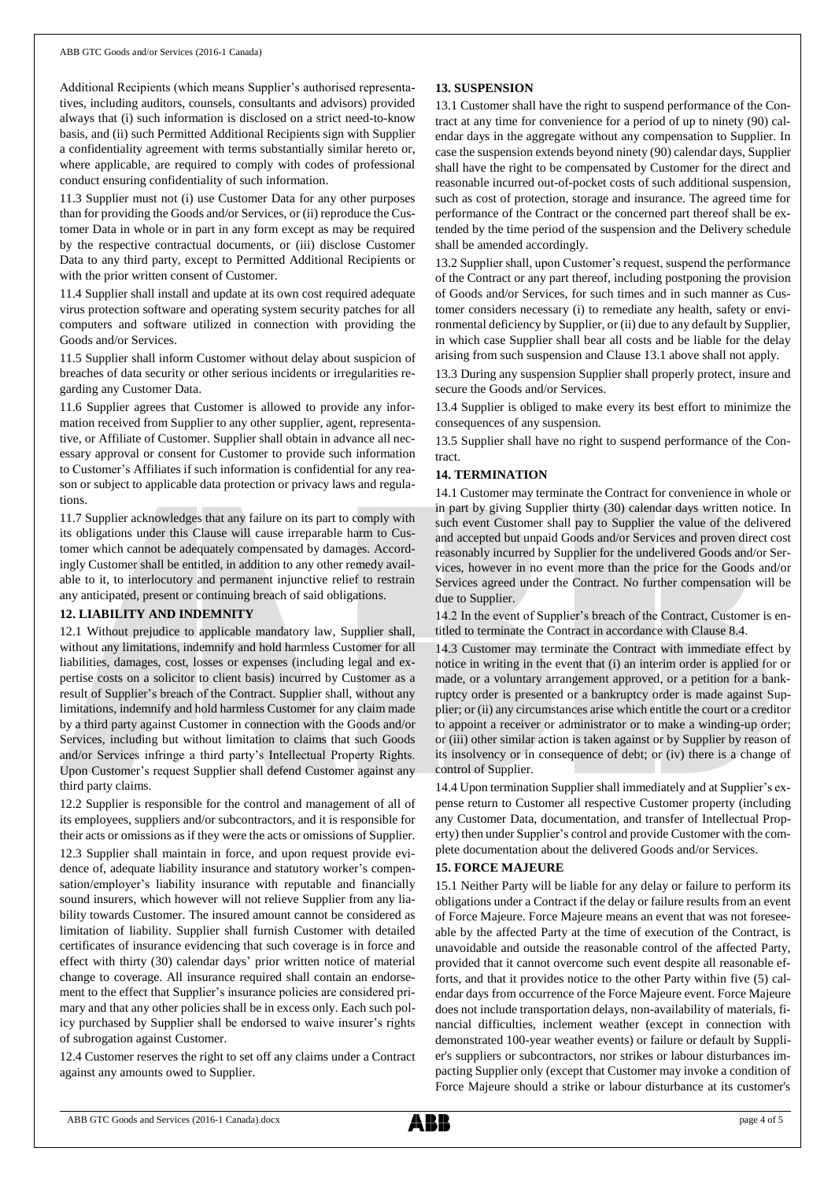Additional Recipients (which means Supplier's authorised representatives, including auditors, counsels, consultants and advisors) provided always that (i) such information is disclosed on a strict need-to-know basis, and (ii) such Permitted Additional Recipients sign with Supplier a confidentiality agreement with terms substantially similar hereto or, where applicable, are required to comply with codes of professional conduct ensuring confidentiality of such information.

11.3 Supplier must not (i) use Customer Data for any other purposes than for providing the Goods and/or Services, or (ii) reproduce the Customer Data in whole or in part in any form except as may be required by the respective contractual documents, or (iii) disclose Customer Data to any third party, except to Permitted Additional Recipients or with the prior written consent of Customer.

11.4 Supplier shall install and update at its own cost required adequate virus protection software and operating system security patches for all computers and software utilized in connection with providing the Goods and/or Services.

11.5 Supplier shall inform Customer without delay about suspicion of breaches of data security or other serious incidents or irregularities regarding any Customer Data.

11.6 Supplier agrees that Customer is allowed to provide any information received from Supplier to any other supplier, agent, representative, or Affiliate of Customer. Supplier shall obtain in advance all necessary approval or consent for Customer to provide such information to Customer's Affiliates if such information is confidential for any reason or subject to applicable data protection or privacy laws and regulations.

11.7 Supplier acknowledges that any failure on its part to comply with its obligations under this Clause will cause irreparable harm to Customer which cannot be adequately compensated by damages. Accordingly Customer shall be entitled, in addition to any other remedy available to it, to interlocutory and permanent injunctive relief to restrain any anticipated, present or continuing breach of said obligations.

#### **12. LIABILITY AND INDEMNITY**

12.1 Without prejudice to applicable mandatory law, Supplier shall, without any limitations, indemnify and hold harmless Customer for all liabilities, damages, cost, losses or expenses (including legal and expertise costs on a solicitor to client basis) incurred by Customer as a result of Supplier's breach of the Contract. Supplier shall, without any limitations, indemnify and hold harmless Customer for any claim made by a third party against Customer in connection with the Goods and/or Services, including but without limitation to claims that such Goods and/or Services infringe a third party's Intellectual Property Rights. Upon Customer's request Supplier shall defend Customer against any third party claims.

12.2 Supplier is responsible for the control and management of all of its employees, suppliers and/or subcontractors, and it is responsible for their acts or omissions as if they were the acts or omissions of Supplier.

12.3 Supplier shall maintain in force, and upon request provide evidence of, adequate liability insurance and statutory worker's compensation/employer's liability insurance with reputable and financially sound insurers, which however will not relieve Supplier from any liability towards Customer. The insured amount cannot be considered as limitation of liability. Supplier shall furnish Customer with detailed certificates of insurance evidencing that such coverage is in force and effect with thirty (30) calendar days' prior written notice of material change to coverage. All insurance required shall contain an endorsement to the effect that Supplier's insurance policies are considered primary and that any other policies shall be in excess only. Each such policy purchased by Supplier shall be endorsed to waive insurer's rights of subrogation against Customer.

12.4 Customer reserves the right to set off any claims under a Contract against any amounts owed to Supplier.

## **13. SUSPENSION**

13.1 Customer shall have the right to suspend performance of the Contract at any time for convenience for a period of up to ninety (90) calendar days in the aggregate without any compensation to Supplier. In case the suspension extends beyond ninety (90) calendar days, Supplier shall have the right to be compensated by Customer for the direct and reasonable incurred out-of-pocket costs of such additional suspension, such as cost of protection, storage and insurance. The agreed time for performance of the Contract or the concerned part thereof shall be extended by the time period of the suspension and the Delivery schedule shall be amended accordingly.

13.2 Supplier shall, upon Customer's request, suspend the performance of the Contract or any part thereof, including postponing the provision of Goods and/or Services, for such times and in such manner as Customer considers necessary (i) to remediate any health, safety or environmental deficiency by Supplier, or (ii) due to any default by Supplier, in which case Supplier shall bear all costs and be liable for the delay arising from such suspension and Clause 13.1 above shall not apply.

13.3 During any suspension Supplier shall properly protect, insure and secure the Goods and/or Services.

13.4 Supplier is obliged to make every its best effort to minimize the consequences of any suspension.

13.5 Supplier shall have no right to suspend performance of the Contract.

## **14. TERMINATION**

14.1 Customer may terminate the Contract for convenience in whole or in part by giving Supplier thirty (30) calendar days written notice. In such event Customer shall pay to Supplier the value of the delivered and accepted but unpaid Goods and/or Services and proven direct cost reasonably incurred by Supplier for the undelivered Goods and/or Services, however in no event more than the price for the Goods and/or Services agreed under the Contract. No further compensation will be due to Supplier.

14.2 In the event of Supplier's breach of the Contract, Customer is entitled to terminate the Contract in accordance with Clause 8.4.

14.3 Customer may terminate the Contract with immediate effect by notice in writing in the event that (i) an interim order is applied for or made, or a voluntary arrangement approved, or a petition for a bankruptcy order is presented or a bankruptcy order is made against Supplier; or (ii) any circumstances arise which entitle the court or a creditor to appoint a receiver or administrator or to make a winding-up order; or (iii) other similar action is taken against or by Supplier by reason of its insolvency or in consequence of debt; or (iv) there is a change of control of Supplier.

14.4 Upon termination Supplier shall immediately and at Supplier's expense return to Customer all respective Customer property (including any Customer Data, documentation, and transfer of Intellectual Property) then under Supplier's control and provide Customer with the complete documentation about the delivered Goods and/or Services.

#### **15. FORCE MAJEURE**

15.1 Neither Party will be liable for any delay or failure to perform its obligations under a Contract if the delay or failure results from an event of Force Majeure. Force Majeure means an event that was not foreseeable by the affected Party at the time of execution of the Contract, is unavoidable and outside the reasonable control of the affected Party, provided that it cannot overcome such event despite all reasonable efforts, and that it provides notice to the other Party within five (5) calendar days from occurrence of the Force Majeure event. Force Majeure does not include transportation delays, non-availability of materials, financial difficulties, inclement weather (except in connection with demonstrated 100-year weather events) or failure or default by Supplier's suppliers or subcontractors, nor strikes or labour disturbances impacting Supplier only (except that Customer may invoke a condition of Force Majeure should a strike or labour disturbance at its customer's